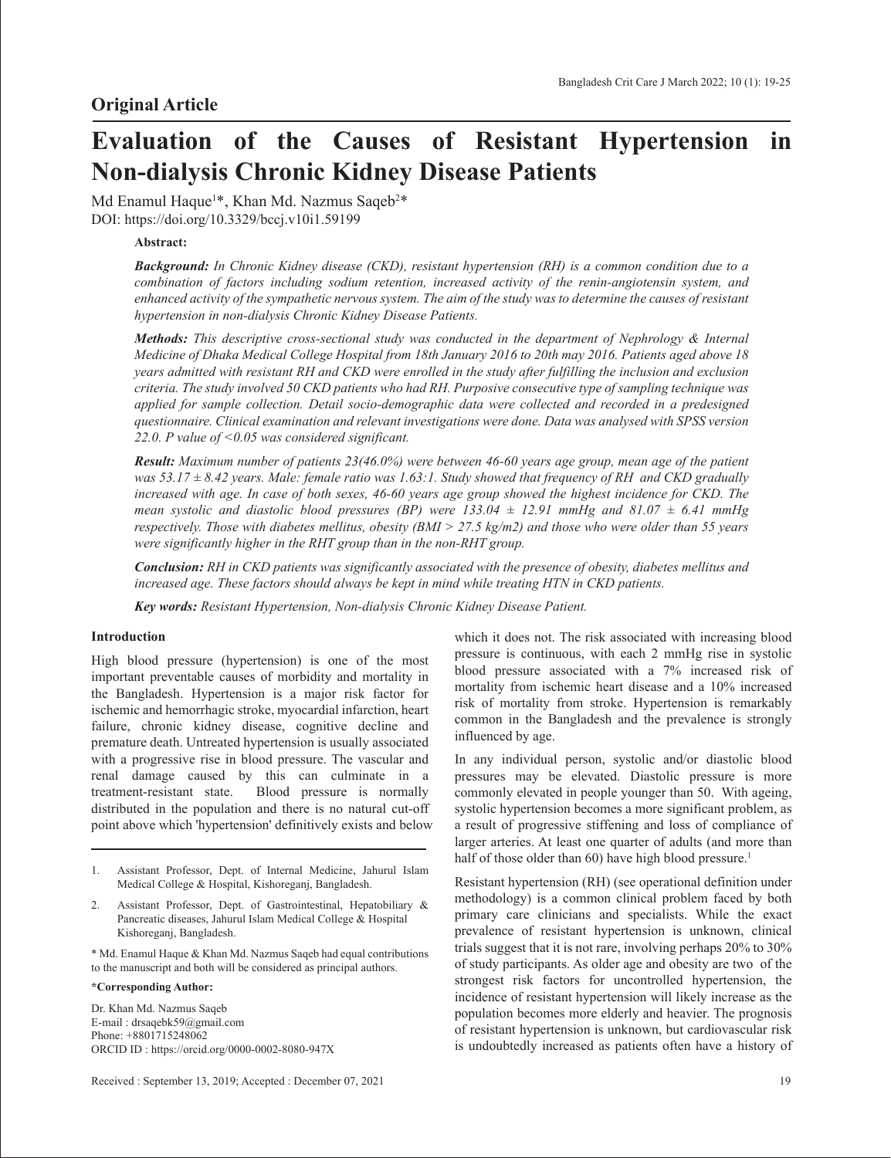# **Evaluation of the Causes of Resistant Hypertension in Non-dialysis Chronic Kidney Disease Patients**

Md Enamul Haque1 \*, Khan Md. Nazmus Saqeb2 \* DOI: https://doi.org/10.3329/bccj.v10i1.59199

## **Abstract:**

*Background: In Chronic Kidney disease (CKD), resistant hypertension (RH) is a common condition due to a combination of factors including sodium retention, increased activity of the renin-angiotensin system, and enhanced activity of the sympathetic nervous system. The aim of the study was to determine the causes of resistant hypertension in non-dialysis Chronic Kidney Disease Patients.* 

*Methods: This descriptive cross-sectional study was conducted in the department of Nephrology & Internal Medicine of Dhaka Medical College Hospital from 18th January 2016 to 20th may 2016. Patients aged above 18 years admitted with resistant RH and CKD were enrolled in the study after fulfilling the inclusion and exclusion criteria. The study involved 50 CKD patients who had RH. Purposive consecutive type of sampling technique was applied for sample collection. Detail socio-demographic data were collected and recorded in a predesigned questionnaire. Clinical examination and relevant investigations were done. Data was analysed with SPSS version 22.0. P value of <0.05 was considered significant.*

*Result: Maximum number of patients 23(46.0%) were between 46-60 years age group, mean age of the patient was 53.17 ± 8.42 years. Male: female ratio was 1.63:1. Study showed that frequency of RH and CKD gradually increased with age. In case of both sexes, 46-60 years age group showed the highest incidence for CKD. The mean systolic and diastolic blood pressures (BP) were 133.04*  $\pm$  *12.91 mmHg and 81.07*  $\pm$  *6.41 mmHg respectively. Those with diabetes mellitus, obesity (BMI > 27.5 kg/m2) and those who were older than 55 years were significantly higher in the RHT group than in the non-RHT group.*

*Conclusion: RH in CKD patients was significantly associated with the presence of obesity, diabetes mellitus and increased age. These factors should always be kept in mind while treating HTN in CKD patients.* 

*Key words: Resistant Hypertension, Non-dialysis Chronic Kidney Disease Patient.*

## **Introduction**

High blood pressure (hypertension) is one of the most important preventable causes of morbidity and mortality in the Bangladesh. Hypertension is a major risk factor for ischemic and hemorrhagic stroke, myocardial infarction, heart failure, chronic kidney disease, cognitive decline and premature death. Untreated hypertension is usually associated with a progressive rise in blood pressure. The vascular and renal damage caused by this can culminate in a treatment-resistant state. Blood pressure is normally distributed in the population and there is no natural cut-off point above which 'hypertension' definitively exists and below

- 1. Assistant Professor, Dept. of Internal Medicine, Jahurul Islam Medical College & Hospital, Kishoreganj, Bangladesh.
- 2. Assistant Professor, Dept. of Gastrointestinal, Hepatobiliary & Pancreatic diseases, Jahurul Islam Medical College & Hospital Kishoreganj, Bangladesh.
- \* Md. Enamul Haque & Khan Md. Nazmus Saqeb had equal contributions to the manuscript and both will be considered as principal authors.

## **\*Corresponding Author:**

Dr. Khan Md. Nazmus Saqeb E-mail : drsaqebk59@gmail.com Phone: +8801715248062 ORCID ID : https://orcid.org/0000-0002-8080-947X which it does not. The risk associated with increasing blood pressure is continuous, with each 2 mmHg rise in systolic blood pressure associated with a 7% increased risk of mortality from ischemic heart disease and a 10% increased risk of mortality from stroke. Hypertension is remarkably common in the Bangladesh and the prevalence is strongly influenced by age.

In any individual person, systolic and/or diastolic blood pressures may be elevated. Diastolic pressure is more commonly elevated in people younger than 50. With ageing, systolic hypertension becomes a more significant problem, as a result of progressive stiffening and loss of compliance of larger arteries. At least one quarter of adults (and more than half of those older than 60) have high blood pressure.<sup>1</sup>

Resistant hypertension (RH) (see operational definition under methodology) is a common clinical problem faced by both primary care clinicians and specialists. While the exact prevalence of resistant hypertension is unknown, clinical trials suggest that it is not rare, involving perhaps 20% to 30% of study participants. As older age and obesity are two of the strongest risk factors for uncontrolled hypertension, the incidence of resistant hypertension will likely increase as the population becomes more elderly and heavier. The prognosis of resistant hypertension is unknown, but cardiovascular risk is undoubtedly increased as patients often have a history of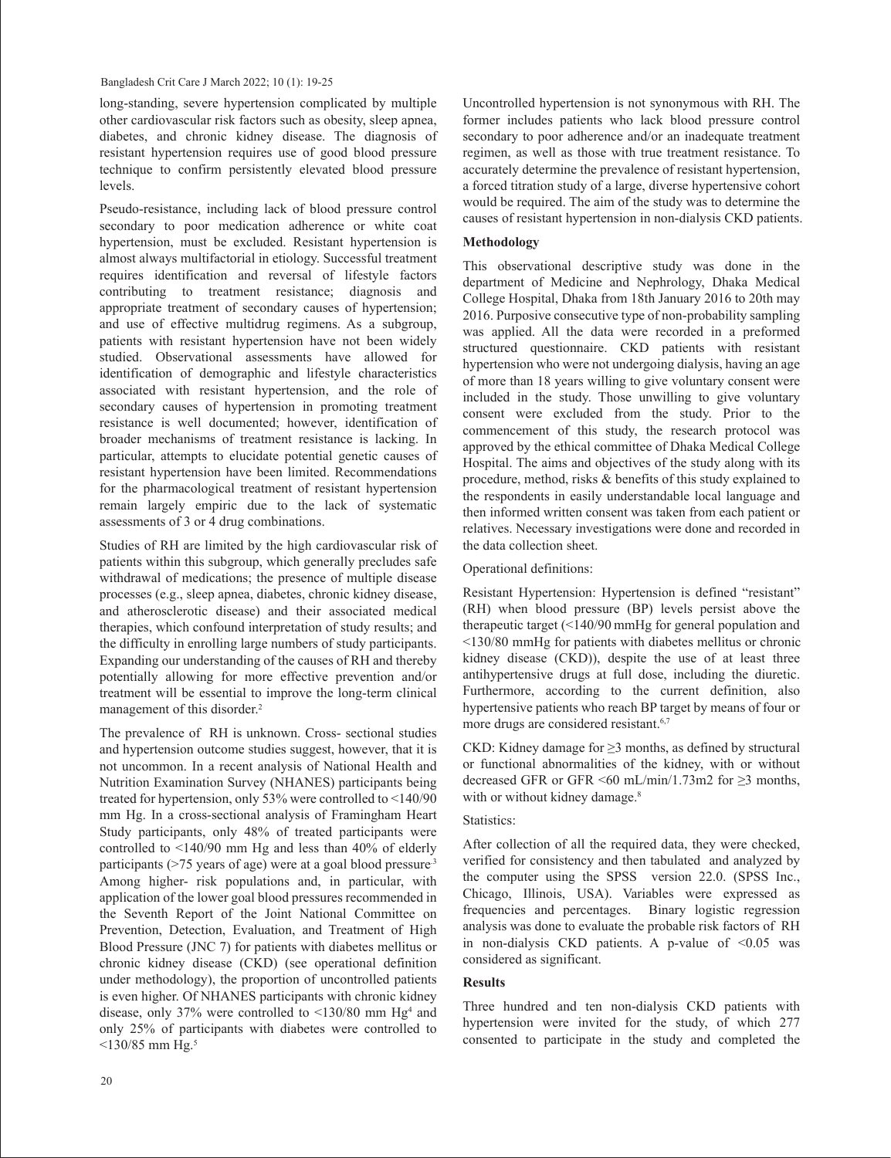long-standing, severe hypertension complicated by multiple other cardiovascular risk factors such as obesity, sleep apnea, diabetes, and chronic kidney disease. The diagnosis of resistant hypertension requires use of good blood pressure technique to confirm persistently elevated blood pressure levels.

Pseudo-resistance, including lack of blood pressure control secondary to poor medication adherence or white coat hypertension, must be excluded. Resistant hypertension is almost always multifactorial in etiology. Successful treatment requires identification and reversal of lifestyle factors contributing to treatment resistance; diagnosis and appropriate treatment of secondary causes of hypertension; and use of effective multidrug regimens. As a subgroup, patients with resistant hypertension have not been widely studied. Observational assessments have allowed for identification of demographic and lifestyle characteristics associated with resistant hypertension, and the role of secondary causes of hypertension in promoting treatment resistance is well documented; however, identification of broader mechanisms of treatment resistance is lacking. In particular, attempts to elucidate potential genetic causes of resistant hypertension have been limited. Recommendations for the pharmacological treatment of resistant hypertension remain largely empiric due to the lack of systematic assessments of 3 or 4 drug combinations.

Studies of RH are limited by the high cardiovascular risk of patients within this subgroup, which generally precludes safe withdrawal of medications; the presence of multiple disease processes (e.g., sleep apnea, diabetes, chronic kidney disease, and atherosclerotic disease) and their associated medical therapies, which confound interpretation of study results; and the difficulty in enrolling large numbers of study participants. Expanding our understanding of the causes of RH and thereby potentially allowing for more effective prevention and/or treatment will be essential to improve the long-term clinical management of this disorder.<sup>2</sup>

The prevalence of RH is unknown. Cross- sectional studies and hypertension outcome studies suggest, however, that it is not uncommon. In a recent analysis of National Health and Nutrition Examination Survey (NHANES) participants being treated for hypertension, only 53% were controlled to <140/90 mm Hg. In a cross-sectional analysis of Framingham Heart Study participants, only 48% of treated participants were controlled to <140/90 mm Hg and less than 40% of elderly participants (>75 years of age) were at a goal blood pressure.3 Among higher- risk populations and, in particular, with application of the lower goal blood pressures recommended in the Seventh Report of the Joint National Committee on Prevention, Detection, Evaluation, and Treatment of High Blood Pressure (JNC 7) for patients with diabetes mellitus or chronic kidney disease (CKD) (see operational definition under methodology), the proportion of uncontrolled patients is even higher. Of NHANES participants with chronic kidney disease, only 37% were controlled to  $\leq$ 130/80 mm Hg<sup>4</sup> and only 25% of participants with diabetes were controlled to  $\leq$ 130/85 mm Hg.<sup>5</sup>

Uncontrolled hypertension is not synonymous with RH. The former includes patients who lack blood pressure control secondary to poor adherence and/or an inadequate treatment regimen, as well as those with true treatment resistance. To accurately determine the prevalence of resistant hypertension, a forced titration study of a large, diverse hypertensive cohort would be required. The aim of the study was to determine the causes of resistant hypertension in non-dialysis CKD patients.

## **Methodology**

This observational descriptive study was done in the department of Medicine and Nephrology, Dhaka Medical College Hospital, Dhaka from 18th January 2016 to 20th may 2016. Purposive consecutive type of non-probability sampling was applied. All the data were recorded in a preformed structured questionnaire. CKD patients with resistant hypertension who were not undergoing dialysis, having an age of more than 18 years willing to give voluntary consent were included in the study. Those unwilling to give voluntary consent were excluded from the study. Prior to the commencement of this study, the research protocol was approved by the ethical committee of Dhaka Medical College Hospital. The aims and objectives of the study along with its procedure, method, risks & benefits of this study explained to the respondents in easily understandable local language and then informed written consent was taken from each patient or relatives. Necessary investigations were done and recorded in the data collection sheet.

## Operational definitions:

Resistant Hypertension: Hypertension is defined "resistant" (RH) when blood pressure (BP) levels persist above the therapeutic target (<140/90 mmHg for general population and <130/80 mmHg for patients with diabetes mellitus or chronic kidney disease (CKD)), despite the use of at least three antihypertensive drugs at full dose, including the diuretic. Furthermore, according to the current definition, also hypertensive patients who reach BP target by means of four or more drugs are considered resistant.<sup>6,7</sup>

CKD: Kidney damage for ≥3 months, as defined by structural or functional abnormalities of the kidney, with or without decreased GFR or GFR <60 mL/min/1.73m2 for  $\geq$ 3 months, with or without kidney damage.<sup>8</sup>

## Statistics:

After collection of all the required data, they were checked, verified for consistency and then tabulated and analyzed by the computer using the SPSS version 22.0. (SPSS Inc., Chicago, Illinois, USA). Variables were expressed as frequencies and percentages. Binary logistic regression analysis was done to evaluate the probable risk factors of RH in non-dialysis CKD patients. A p-value of  $< 0.05$  was considered as significant.

## **Results**

Three hundred and ten non-dialysis CKD patients with hypertension were invited for the study, of which 277 consented to participate in the study and completed the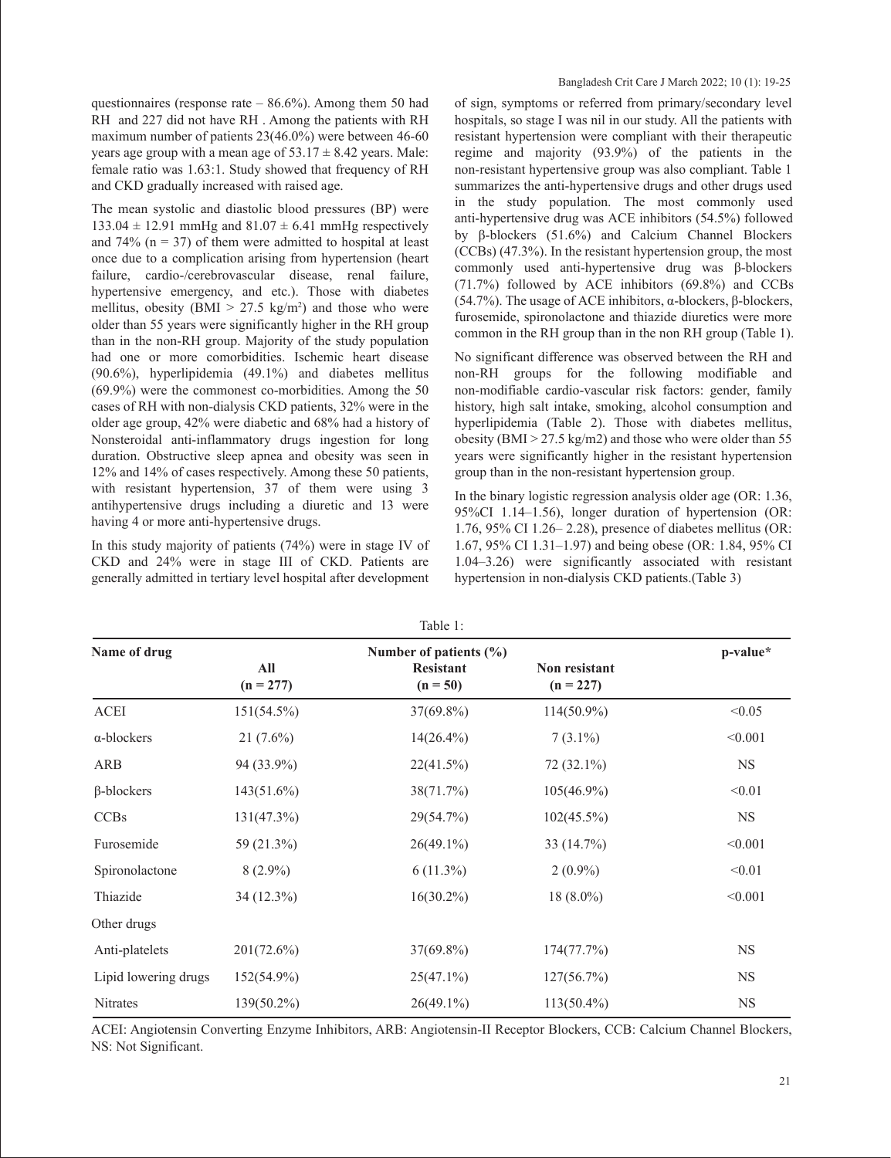questionnaires (response rate  $-86.6%$ ). Among them 50 had RH and 227 did not have RH . Among the patients with RH maximum number of patients 23(46.0%) were between 46-60 years age group with a mean age of  $53.17 \pm 8.42$  years. Male: female ratio was 1.63:1. Study showed that frequency of RH and CKD gradually increased with raised age.

The mean systolic and diastolic blood pressures (BP) were  $133.04 \pm 12.91$  mmHg and  $81.07 \pm 6.41$  mmHg respectively and 74% ( $n = 37$ ) of them were admitted to hospital at least once due to a complication arising from hypertension (heart failure, cardio-/cerebrovascular disease, renal failure, hypertensive emergency, and etc.). Those with diabetes mellitus, obesity (BMI  $> 27.5 \text{ kg/m}^2$ ) and those who were older than 55 years were significantly higher in the RH group than in the non-RH group. Majority of the study population had one or more comorbidities. Ischemic heart disease (90.6%), hyperlipidemia (49.1%) and diabetes mellitus (69.9%) were the commonest co-morbidities. Among the 50 cases of RH with non-dialysis CKD patients, 32% were in the older age group, 42% were diabetic and 68% had a history of Nonsteroidal anti-inflammatory drugs ingestion for long duration. Obstructive sleep apnea and obesity was seen in 12% and 14% of cases respectively. Among these 50 patients, with resistant hypertension, 37 of them were using 3 antihypertensive drugs including a diuretic and 13 were having 4 or more anti-hypertensive drugs.

In this study majority of patients (74%) were in stage IV of CKD and 24% were in stage III of CKD. Patients are generally admitted in tertiary level hospital after development of sign, symptoms or referred from primary/secondary level hospitals, so stage I was nil in our study. All the patients with resistant hypertension were compliant with their therapeutic regime and majority (93.9%) of the patients in the non-resistant hypertensive group was also compliant. Table 1 summarizes the anti-hypertensive drugs and other drugs used in the study population. The most commonly used anti-hypertensive drug was ACE inhibitors (54.5%) followed by β-blockers (51.6%) and Calcium Channel Blockers (CCBs) (47.3%). In the resistant hypertension group, the most commonly used anti-hypertensive drug was β-blockers (71.7%) followed by ACE inhibitors (69.8%) and CCBs (54.7%). The usage of ACE inhibitors, α-blockers, β-blockers, furosemide, spironolactone and thiazide diuretics were more common in the RH group than in the non RH group (Table 1).

No significant difference was observed between the RH and non-RH groups for the following modifiable and non-modifiable cardio-vascular risk factors: gender, family history, high salt intake, smoking, alcohol consumption and hyperlipidemia (Table 2). Those with diabetes mellitus, obesity ( $BMI > 27.5 \text{ kg/m2}$ ) and those who were older than 55 years were significantly higher in the resistant hypertension group than in the non-resistant hypertension group.

In the binary logistic regression analysis older age (OR: 1.36, 95%CI 1.14–1.56), longer duration of hypertension (OR: 1.76, 95% CI 1.26– 2.28), presence of diabetes mellitus (OR: 1.67, 95% CI 1.31–1.97) and being obese (OR: 1.84, 95% CI 1.04–3.26) were significantly associated with resistant hypertension in non-dialysis CKD patients.(Table 3)

| lable 1:             |                    |                                |                                     |           |  |  |  |
|----------------------|--------------------|--------------------------------|-------------------------------------|-----------|--|--|--|
| Name of drug         |                    | p-value*                       |                                     |           |  |  |  |
|                      | All<br>$(n = 277)$ | <b>Resistant</b><br>$(n = 50)$ | <b>Non resistant</b><br>$(n = 227)$ |           |  |  |  |
| <b>ACEI</b>          | $151(54.5\%)$      | $37(69.8\%)$                   | $114(50.9\%)$                       | < 0.05    |  |  |  |
| $\alpha$ -blockers   | $21(7.6\%)$        | $14(26.4\%)$                   | $7(3.1\%)$                          | < 0.001   |  |  |  |
| ARB                  | 94 (33.9%)         | 22(41.5%)                      | $72(32.1\%)$                        | <b>NS</b> |  |  |  |
| $\beta$ -blockers    | $143(51.6\%)$      | 38(71.7%)                      | $105(46.9\%)$                       | < 0.01    |  |  |  |
| <b>CCBs</b>          | $131(47.3\%)$      | 29(54.7%)                      | $102(45.5\%)$                       | <b>NS</b> |  |  |  |
| Furosemide           | 59 (21.3%)         | $26(49.1\%)$                   | 33 (14.7%)                          | < 0.001   |  |  |  |
| Spironolactone       | $8(2.9\%)$         | $6(11.3\%)$                    | $2(0.9\%)$                          | < 0.01    |  |  |  |
| Thiazide             | 34 (12.3%)         | $16(30.2\%)$                   | $18(8.0\%)$                         | < 0.001   |  |  |  |
| Other drugs          |                    |                                |                                     |           |  |  |  |
| Anti-platelets       | $201(72.6\%)$      | $37(69.8\%)$                   | 174(77.7%)                          | <b>NS</b> |  |  |  |
| Lipid lowering drugs | $152(54.9\%)$      | $25(47.1\%)$                   | 127(56.7%)                          | <b>NS</b> |  |  |  |
| Nitrates             | $139(50.2\%)$      | $26(49.1\%)$                   | $113(50.4\%)$                       | <b>NS</b> |  |  |  |
|                      |                    |                                |                                     |           |  |  |  |

 $T = 1.1$ 

ACEI: Angiotensin Converting Enzyme Inhibitors, ARB: Angiotensin-II Receptor Blockers, CCB: Calcium Channel Blockers, NS: Not Significant.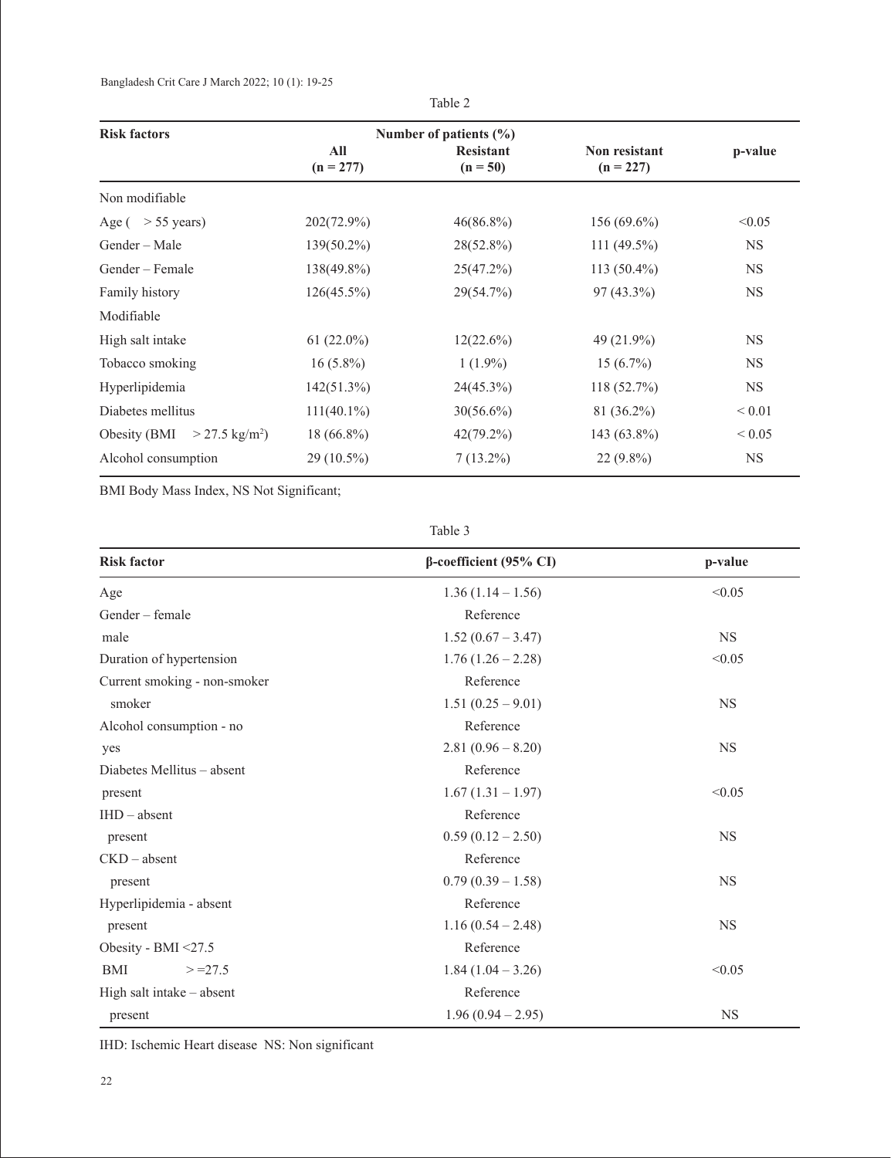Bangladesh Crit Care J March 2022; 10 (1): 19-25

| <b>Risk factors</b>                          |                    | Number of patients $(\% )$     |                                     |            |
|----------------------------------------------|--------------------|--------------------------------|-------------------------------------|------------|
|                                              | All<br>$(n = 277)$ | <b>Resistant</b><br>$(n = 50)$ | <b>Non resistant</b><br>$(n = 227)$ | p-value    |
| Non modifiable                               |                    |                                |                                     |            |
| Age ( $>$ 55 years)                          | 202(72.9%)         | $46(86.8\%)$                   | $156(69.6\%)$                       | < 0.05     |
| Gender – Male                                | $139(50.2\%)$      | $28(52.8\%)$                   | $111(49.5\%)$                       | <b>NS</b>  |
| Gender – Female                              | $138(49.8\%)$      | 25(47.2%)                      | $113(50.4\%)$                       | <b>NS</b>  |
| Family history                               | $126(45.5\%)$      | 29(54.7%)                      | $97(43.3\%)$                        | <b>NS</b>  |
| Modifiable                                   |                    |                                |                                     |            |
| High salt intake                             | $61(22.0\%)$       | $12(22.6\%)$                   | 49 (21.9%)                          | <b>NS</b>  |
| Tobacco smoking                              | $16(5.8\%)$        | $1(1.9\%)$                     | $15(6.7\%)$                         | <b>NS</b>  |
| Hyperlipidemia                               | $142(51.3\%)$      | 24(45.3%)                      | 118(52.7%)                          | <b>NS</b>  |
| Diabetes mellitus                            | $111(40.1\%)$      | $30(56.6\%)$                   | 81 (36.2%)                          | ${}< 0.01$ |
| Obesity (BMI<br>$>$ 27.5 kg/m <sup>2</sup> ) | $18(66.8\%)$       | $42(79.2\%)$                   | 143 (63.8%)                         | ${}< 0.05$ |
| Alcohol consumption                          | $29(10.5\%)$       | $7(13.2\%)$                    | $22(9.8\%)$                         | <b>NS</b>  |

Table 2

BMI Body Mass Index, NS Not Significant;

Table 3

| <b>Risk factor</b>           | $\beta$ -coefficient (95% CI) | p-value   |  |
|------------------------------|-------------------------------|-----------|--|
| Age                          | $1.36(1.14-1.56)$             | < 0.05    |  |
| Gender - female              | Reference                     |           |  |
| male                         | $1.52(0.67 - 3.47)$           | <b>NS</b> |  |
| Duration of hypertension     | $1.76(1.26 - 2.28)$           | < 0.05    |  |
| Current smoking - non-smoker | Reference                     |           |  |
| smoker                       | $1.51(0.25-9.01)$             | <b>NS</b> |  |
| Alcohol consumption - no     | Reference                     |           |  |
| yes                          | $2.81(0.96 - 8.20)$           | <b>NS</b> |  |
| Diabetes Mellitus – absent   | Reference                     |           |  |
| present                      | $1.67(1.31 - 1.97)$           | < 0.05    |  |
| $IHD - absent$               | Reference                     |           |  |
| present                      | $0.59(0.12-2.50)$             | <b>NS</b> |  |
| $CKD - absent$               | Reference                     |           |  |
| present                      | $0.79(0.39-1.58)$             | <b>NS</b> |  |
| Hyperlipidemia - absent      | Reference                     |           |  |
| present                      | $1.16(0.54 - 2.48)$           | <b>NS</b> |  |
| Obesity - BMI <27.5          | Reference                     |           |  |
| <b>BMI</b><br>$> = 27.5$     | $1.84(1.04 - 3.26)$           | < 0.05    |  |
| High salt intake – absent    | Reference                     |           |  |
| present                      | $1.96(0.94 - 2.95)$           | <b>NS</b> |  |

IHD: Ischemic Heart disease NS: Non significant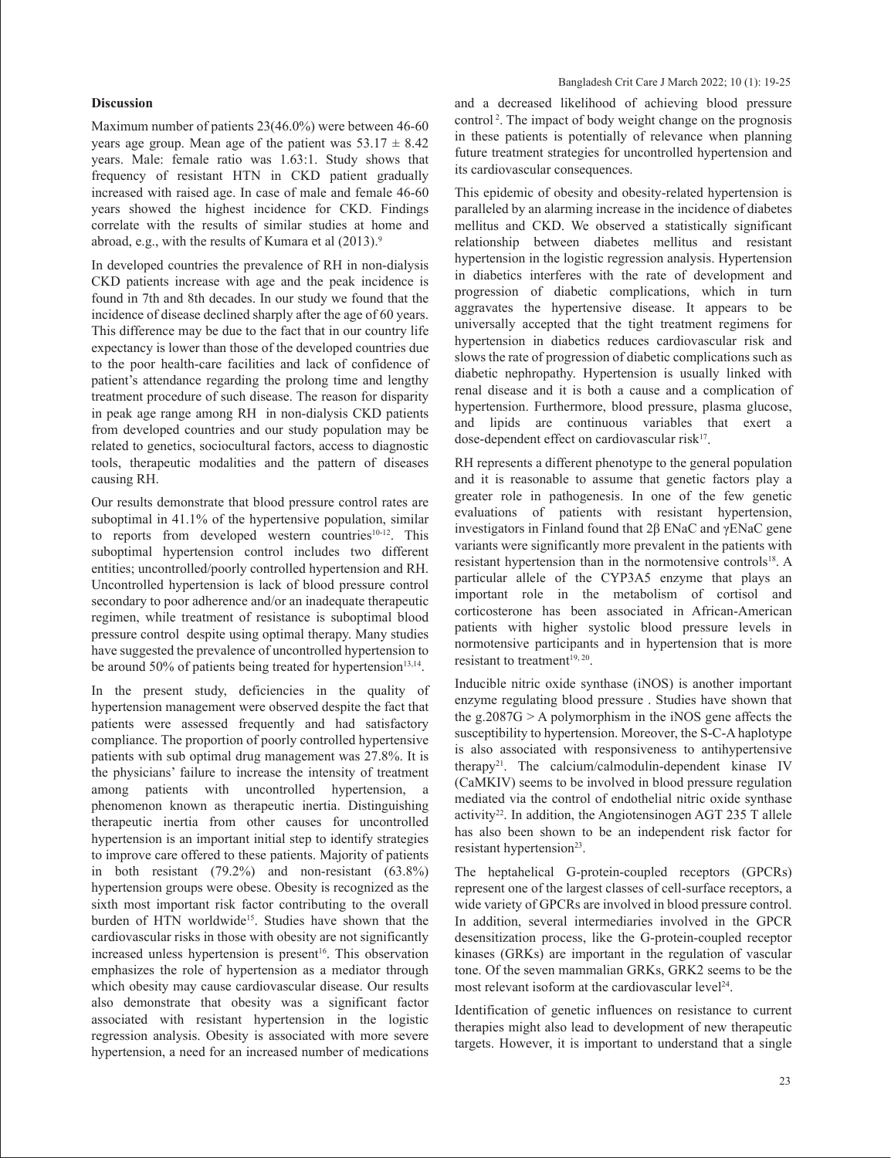#### **Discussion**

Maximum number of patients 23(46.0%) were between 46-60 years age group. Mean age of the patient was  $53.17 \pm 8.42$ years. Male: female ratio was 1.63:1. Study shows that frequency of resistant HTN in CKD patient gradually increased with raised age. In case of male and female 46-60 years showed the highest incidence for CKD. Findings correlate with the results of similar studies at home and abroad, e.g., with the results of Kumara et al (2013).<sup>9</sup>

In developed countries the prevalence of RH in non-dialysis CKD patients increase with age and the peak incidence is found in 7th and 8th decades. In our study we found that the incidence of disease declined sharply after the age of 60 years. This difference may be due to the fact that in our country life expectancy is lower than those of the developed countries due to the poor health-care facilities and lack of confidence of patient's attendance regarding the prolong time and lengthy treatment procedure of such disease. The reason for disparity in peak age range among RH in non-dialysis CKD patients from developed countries and our study population may be related to genetics, sociocultural factors, access to diagnostic tools, therapeutic modalities and the pattern of diseases causing RH.

Our results demonstrate that blood pressure control rates are suboptimal in 41.1% of the hypertensive population, similar to reports from developed western countries<sup>10-12</sup>. This suboptimal hypertension control includes two different entities; uncontrolled/poorly controlled hypertension and RH. Uncontrolled hypertension is lack of blood pressure control secondary to poor adherence and/or an inadequate therapeutic regimen, while treatment of resistance is suboptimal blood pressure control despite using optimal therapy. Many studies have suggested the prevalence of uncontrolled hypertension to be around 50% of patients being treated for hypertension $13,14$ .

In the present study, deficiencies in the quality of hypertension management were observed despite the fact that patients were assessed frequently and had satisfactory compliance. The proportion of poorly controlled hypertensive patients with sub optimal drug management was 27.8%. It is the physicians' failure to increase the intensity of treatment among patients with uncontrolled hypertension, a phenomenon known as therapeutic inertia. Distinguishing therapeutic inertia from other causes for uncontrolled hypertension is an important initial step to identify strategies to improve care offered to these patients. Majority of patients in both resistant (79.2%) and non-resistant (63.8%) hypertension groups were obese. Obesity is recognized as the sixth most important risk factor contributing to the overall burden of HTN worldwide<sup>15</sup>. Studies have shown that the cardiovascular risks in those with obesity are not significantly increased unless hypertension is present<sup>16</sup>. This observation emphasizes the role of hypertension as a mediator through which obesity may cause cardiovascular disease. Our results also demonstrate that obesity was a significant factor associated with resistant hypertension in the logistic regression analysis. Obesity is associated with more severe hypertension, a need for an increased number of medications

and a decreased likelihood of achieving blood pressure control 2. The impact of body weight change on the prognosis in these patients is potentially of relevance when planning future treatment strategies for uncontrolled hypertension and its cardiovascular consequences.

This epidemic of obesity and obesity-related hypertension is paralleled by an alarming increase in the incidence of diabetes mellitus and CKD. We observed a statistically significant relationship between diabetes mellitus and resistant hypertension in the logistic regression analysis. Hypertension in diabetics interferes with the rate of development and progression of diabetic complications, which in turn aggravates the hypertensive disease. It appears to be universally accepted that the tight treatment regimens for hypertension in diabetics reduces cardiovascular risk and slows the rate of progression of diabetic complications such as diabetic nephropathy. Hypertension is usually linked with renal disease and it is both a cause and a complication of hypertension. Furthermore, blood pressure, plasma glucose, and lipids are continuous variables that exert a dose-dependent effect on cardiovascular risk<sup>17</sup>.

RH represents a different phenotype to the general population and it is reasonable to assume that genetic factors play a greater role in pathogenesis. In one of the few genetic evaluations of patients with resistant hypertension, investigators in Finland found that 2β ENaC and γENaC gene variants were significantly more prevalent in the patients with resistant hypertension than in the normotensive controls<sup>18</sup>. A particular allele of the CYP3A5 enzyme that plays an important role in the metabolism of cortisol and corticosterone has been associated in African-American patients with higher systolic blood pressure levels in normotensive participants and in hypertension that is more resistant to treatment<sup>19, 20</sup>.

Inducible nitric oxide synthase (iNOS) is another important enzyme regulating blood pressure . Studies have shown that the g.2087G  $> A$  polymorphism in the iNOS gene affects the susceptibility to hypertension. Moreover, the S-C-A haplotype is also associated with responsiveness to antihypertensive therapy21. The calcium/calmodulin-dependent kinase IV (CaMKIV) seems to be involved in blood pressure regulation mediated via the control of endothelial nitric oxide synthase activity<sup>22</sup>. In addition, the Angiotensinogen AGT 235 T allele has also been shown to be an independent risk factor for resistant hypertension<sup>23</sup>.

The heptahelical G-protein-coupled receptors (GPCRs) represent one of the largest classes of cell-surface receptors, a wide variety of GPCRs are involved in blood pressure control. In addition, several intermediaries involved in the GPCR desensitization process, like the G-protein-coupled receptor kinases (GRKs) are important in the regulation of vascular tone. Of the seven mammalian GRKs, GRK2 seems to be the most relevant isoform at the cardiovascular level $24$ .

Identification of genetic influences on resistance to current therapies might also lead to development of new therapeutic targets. However, it is important to understand that a single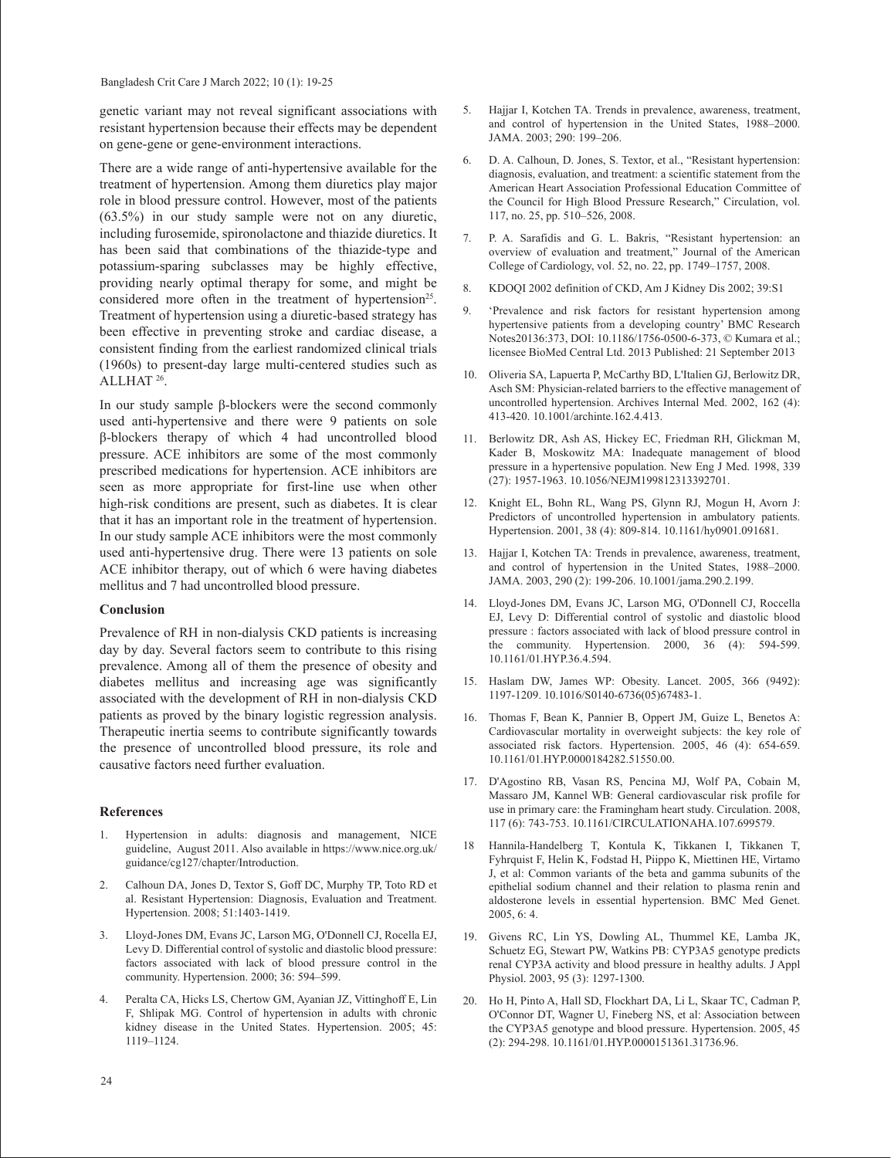Bangladesh Crit Care J March 2022; 10 (1): 19-25

genetic variant may not reveal significant associations with resistant hypertension because their effects may be dependent on gene-gene or gene-environment interactions.

There are a wide range of anti-hypertensive available for the treatment of hypertension. Among them diuretics play major role in blood pressure control. However, most of the patients (63.5%) in our study sample were not on any diuretic, including furosemide, spironolactone and thiazide diuretics. It has been said that combinations of the thiazide-type and potassium-sparing subclasses may be highly effective, providing nearly optimal therapy for some, and might be considered more often in the treatment of hypertension<sup>25</sup>. Treatment of hypertension using a diuretic-based strategy has been effective in preventing stroke and cardiac disease, a consistent finding from the earliest randomized clinical trials (1960s) to present-day large multi-centered studies such as ALLHAT 26.

In our study sample β-blockers were the second commonly used anti-hypertensive and there were 9 patients on sole β-blockers therapy of which 4 had uncontrolled blood pressure. ACE inhibitors are some of the most commonly prescribed medications for hypertension. ACE inhibitors are seen as more appropriate for first-line use when other high-risk conditions are present, such as diabetes. It is clear that it has an important role in the treatment of hypertension. In our study sample ACE inhibitors were the most commonly used anti-hypertensive drug. There were 13 patients on sole ACE inhibitor therapy, out of which 6 were having diabetes mellitus and 7 had uncontrolled blood pressure.

### **Conclusion**

Prevalence of RH in non-dialysis CKD patients is increasing day by day. Several factors seem to contribute to this rising prevalence. Among all of them the presence of obesity and diabetes mellitus and increasing age was significantly associated with the development of RH in non-dialysis CKD patients as proved by the binary logistic regression analysis. Therapeutic inertia seems to contribute significantly towards the presence of uncontrolled blood pressure, its role and causative factors need further evaluation.

# **References**

- 1. Hypertension in adults: diagnosis and management, NICE guideline, August 2011. Also available in https://www.nice.org.uk/ guidance/cg127/chapter/Introduction.
- 2. Calhoun DA, Jones D, Textor S, Goff DC, Murphy TP, Toto RD et al. Resistant Hypertension: Diagnosis, Evaluation and Treatment. Hypertension. 2008; 51:1403-1419.
- 3. Lloyd-Jones DM, Evans JC, Larson MG, O'Donnell CJ, Rocella EJ, Levy D. Differential control of systolic and diastolic blood pressure: factors associated with lack of blood pressure control in the community. Hypertension. 2000; 36: 594–599.
- 4. Peralta CA, Hicks LS, Chertow GM, Ayanian JZ, Vittinghoff E, Lin F, Shlipak MG. Control of hypertension in adults with chronic kidney disease in the United States. Hypertension. 2005; 45: 1119–1124.
- 5. Hajjar I, Kotchen TA. Trends in prevalence, awareness, treatment, and control of hypertension in the United States, 1988–2000. JAMA. 2003; 290: 199–206.
- 6. D. A. Calhoun, D. Jones, S. Textor, et al., "Resistant hypertension: diagnosis, evaluation, and treatment: a scientific statement from the American Heart Association Professional Education Committee of the Council for High Blood Pressure Research," Circulation, vol. 117, no. 25, pp. 510–526, 2008.
- 7. P. A. Sarafidis and G. L. Bakris, "Resistant hypertension: an overview of evaluation and treatment," Journal of the American College of Cardiology, vol. 52, no. 22, pp. 1749–1757, 2008.
- 8. KDOQI 2002 definition of CKD, Am J Kidney Dis 2002; 39:S1
- 9. 'Prevalence and risk factors for resistant hypertension among hypertensive patients from a developing country' BMC Research Notes20136:373, DOI: 10.1186/1756-0500-6-373, © Kumara et al.; licensee BioMed Central Ltd. 2013 Published: 21 September 2013
- 10. Oliveria SA, Lapuerta P, McCarthy BD, L'Italien GJ, Berlowitz DR, Asch SM: Physician-related barriers to the effective management of uncontrolled hypertension. Archives Internal Med. 2002, 162 (4): 413-420. 10.1001/archinte.162.4.413.
- 11. Berlowitz DR, Ash AS, Hickey EC, Friedman RH, Glickman M, Kader B, Moskowitz MA: Inadequate management of blood pressure in a hypertensive population. New Eng J Med. 1998, 339 (27): 1957-1963. 10.1056/NEJM199812313392701.
- 12. Knight EL, Bohn RL, Wang PS, Glynn RJ, Mogun H, Avorn J: Predictors of uncontrolled hypertension in ambulatory patients. Hypertension. 2001, 38 (4): 809-814. 10.1161/hy0901.091681.
- 13. Hajjar I, Kotchen TA: Trends in prevalence, awareness, treatment, and control of hypertension in the United States, 1988–2000. JAMA. 2003, 290 (2): 199-206. 10.1001/jama.290.2.199.
- 14. Lloyd-Jones DM, Evans JC, Larson MG, O'Donnell CJ, Roccella EJ, Levy D: Differential control of systolic and diastolic blood pressure : factors associated with lack of blood pressure control in the community. Hypertension. 2000, 36 (4): 594-599. 10.1161/01.HYP.36.4.594.
- 15. Haslam DW, James WP: Obesity. Lancet. 2005, 366 (9492): 1197-1209. 10.1016/S0140-6736(05)67483-1.
- 16. Thomas F, Bean K, Pannier B, Oppert JM, Guize L, Benetos A: Cardiovascular mortality in overweight subjects: the key role of associated risk factors. Hypertension. 2005, 46 (4): 654-659. 10.1161/01.HYP.0000184282.51550.00.
- 17. D'Agostino RB, Vasan RS, Pencina MJ, Wolf PA, Cobain M, Massaro JM, Kannel WB: General cardiovascular risk profile for use in primary care: the Framingham heart study. Circulation. 2008, 117 (6): 743-753. 10.1161/CIRCULATIONAHA.107.699579.
- 18 Hannila-Handelberg T, Kontula K, Tikkanen I, Tikkanen T, Fyhrquist F, Helin K, Fodstad H, Piippo K, Miettinen HE, Virtamo J, et al: Common variants of the beta and gamma subunits of the epithelial sodium channel and their relation to plasma renin and aldosterone levels in essential hypertension. BMC Med Genet. 2005, 6: 4.
- 19. Givens RC, Lin YS, Dowling AL, Thummel KE, Lamba JK, Schuetz EG, Stewart PW, Watkins PB: CYP3A5 genotype predicts renal CYP3A activity and blood pressure in healthy adults. J Appl Physiol. 2003, 95 (3): 1297-1300.
- 20. Ho H, Pinto A, Hall SD, Flockhart DA, Li L, Skaar TC, Cadman P, O'Connor DT, Wagner U, Fineberg NS, et al: Association between the CYP3A5 genotype and blood pressure. Hypertension. 2005, 45 (2): 294-298. 10.1161/01.HYP.0000151361.31736.96.